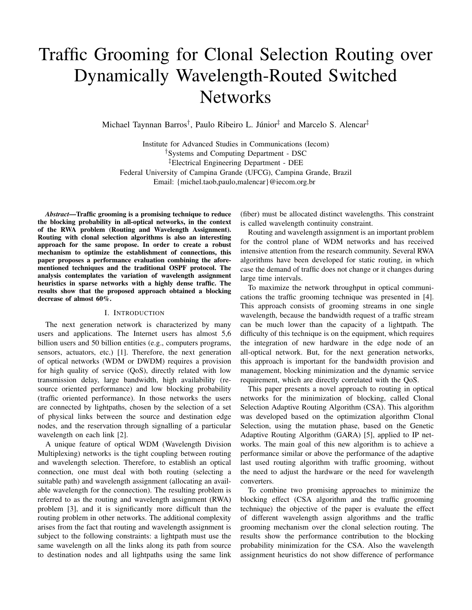# Traffic Grooming for Clonal Selection Routing over Dynamically Wavelength-Routed Switched **Networks**

Michael Taynnan Barros<sup>†</sup>, Paulo Ribeiro L. Júnior<sup>‡</sup> and Marcelo S. Alencar<sup>‡</sup>

Institute for Advanced Studies in Communications (Iecom) †Systems and Computing Department - DSC ‡Electrical Engineering Department - DEE Federal University of Campina Grande (UFCG), Campina Grande, Brazil Email: {michel.taob,paulo,malencar}@iecom.org.br

*Abstract*—Traffic grooming is a promising technique to reduce the blocking probability in all-optical networks, in the context of the RWA problem (Routing and Wavelength Assignment). Routing with clonal selection algorithms is also an interesting approach for the same propose. In order to create a robust mechanism to optimize the establishment of connections, this paper proposes a performance evaluation combining the aforementioned techniques and the traditional OSPF protocol. The analysis contemplates the variation of wavelength assignment heuristics in sparse networks with a highly dense traffic. The results show that the proposed approach obtained a blocking decrease of almost 60%.

## I. INTRODUCTION

The next generation network is characterized by many users and applications. The Internet users has almost 5,6 billion users and 50 billion entities (e.g., computers programs, sensors, actuators, etc.) [1]. Therefore, the next generation of optical networks (WDM or DWDM) requires a provision for high quality of service (QoS), directly related with low transmission delay, large bandwidth, high availability (resource oriented performance) and low blocking probability (traffic oriented performance). In those networks the users are connected by lightpaths, chosen by the selection of a set of physical links between the source and destination edge nodes, and the reservation through signalling of a particular wavelength on each link [2].

A unique feature of optical WDM (Wavelength Division Multiplexing) networks is the tight coupling between routing and wavelength selection. Therefore, to establish an optical connection, one must deal with both routing (selecting a suitable path) and wavelength assignment (allocating an available wavelength for the connection). The resulting problem is referred to as the routing and wavelength assignment (RWA) problem [3], and it is significantly more difficult than the routing problem in other networks. The additional complexity arises from the fact that routing and wavelength assignment is subject to the following constraints: a lightpath must use the same wavelength on all the links along its path from source to destination nodes and all lightpaths using the same link

(fiber) must be allocated distinct wavelengths. This constraint is called wavelength continuity constraint.

Routing and wavelength assignment is an important problem for the control plane of WDM networks and has received intensive attention from the research community. Several RWA algorithms have been developed for static routing, in which case the demand of traffic does not change or it changes during large time intervals.

To maximize the network throughput in optical communications the traffic grooming technique was presented in [4]. This approach consists of grooming streams in one single wavelength, because the bandwidth request of a traffic stream can be much lower than the capacity of a lightpath. The difficulty of this technique is on the equipment, which requires the integration of new hardware in the edge node of an all-optical network. But, for the next generation networks, this approach is important for the bandwidth provision and management, blocking minimization and the dynamic service requirement, which are directly correlated with the QoS.

This paper presents a novel approach to routing in optical networks for the minimization of blocking, called Clonal Selection Adaptive Routing Algorithm (CSA). This algorithm was developed based on the optimization algorithm Clonal Selection, using the mutation phase, based on the Genetic Adaptive Routing Algorithm (GARA) [5], applied to IP networks. The main goal of this new algorithm is to achieve a performance similar or above the performance of the adaptive last used routing algorithm with traffic grooming, without the need to adjust the hardware or the need for wavelength converters.

To combine two promising approaches to minimize the blocking effect (CSA algorithm and the traffic grooming technique) the objective of the paper is evaluate the effect of different wavelength assign algorithms and the traffic grooming mechanism over the clonal selection routing. The results show the performance contribution to the blocking probability minimization for the CSA. Also the wavelength assignment heuristics do not show difference of performance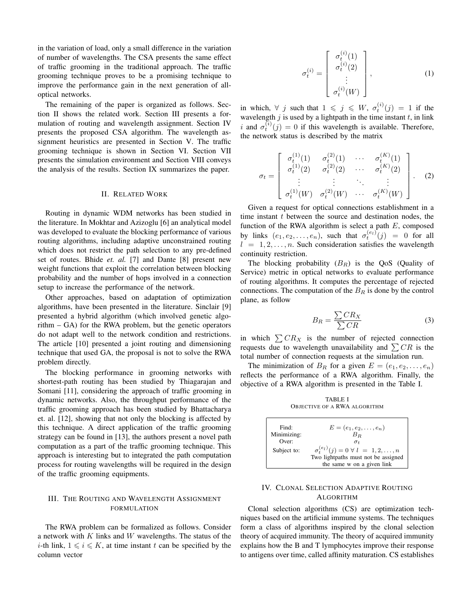in the variation of load, only a small difference in the variation of number of wavelengths. The CSA presents the same effect of traffic grooming in the traditional approach. The traffic grooming technique proves to be a promising technique to improve the performance gain in the next generation of alloptical networks.

The remaining of the paper is organized as follows. Section II shows the related work. Section III presents a formulation of routing and wavelength assignment. Section IV presents the proposed CSA algorithm. The wavelength assignment heuristics are presented in Section V. The traffic grooming technique is shown in Section VI. Section VII presents the simulation environment and Section VIII conveys the analysis of the results. Section IX summarizes the paper.

## II. RELATED WORK

Routing in dynamic WDM networks has been studied in the literature. In Mokhtar and Azizoglu [6] an analytical model was developed to evaluate the blocking performance of various routing algorithms, including adaptive unconstrained routing which does not restrict the path selection to any pre-defined set of routes. Bhide *et. al.* [7] and Dante [8] present new weight functions that exploit the correlation between blocking probability and the number of hops involved in a connection setup to increase the performance of the network.

Other approaches, based on adaptation of optimization algorithms, have been presented in the literature. Sinclair [9] presented a hybrid algorithm (which involved genetic algorithm – GA) for the RWA problem, but the genetic operators do not adapt well to the network condition and restrictions. The article [10] presented a joint routing and dimensioning technique that used GA, the proposal is not to solve the RWA problem directly.

The blocking performance in grooming networks with shortest-path routing has been studied by Thiagarajan and Somani [11], considering the approach of traffic grooming in dynamic networks. Also, the throughput performance of the traffic grooming approach has been studied by Bhattacharya et. al. [12], showing that not only the blocking is affected by this technique. A direct application of the traffic grooming strategy can be found in [13], the authors present a novel path computation as a part of the traffic grooming technique. This approach is interesting but to integrated the path computation process for routing wavelengths will be required in the design of the traffic grooming equipments.

# III. THE ROUTING AND WAVELENGTH ASSIGNMENT FORMULATION

The RWA problem can be formalized as follows. Consider a network with K links and W wavelengths. The status of the *i*-th link,  $1 \leq i \leq K$ , at time instant t can be specified by the column vector

$$
\sigma_t^{(i)} = \begin{bmatrix} \sigma_t^{(i)}(1) \\ \sigma_t^{(i)}(2) \\ \vdots \\ \sigma_t^{(i)}(W) \end{bmatrix}, \tag{1}
$$

in which,  $\forall$  j such that  $1 \leqslant j \leqslant W$ ,  $\sigma_t^{(i)}(j) = 1$  if the wavelength  $j$  is used by a lightpath in the time instant  $t$ , in link i and  $\sigma_t^{(i)}(j) = 0$  if this wavelength is available. Therefore, the network status is described by the matrix

$$
\sigma_t = \begin{bmatrix}\n\sigma_t^{(1)}(1) & \sigma_t^{(2)}(1) & \cdots & \sigma_t^{(K)}(1) \\
\sigma_t^{(1)}(2) & \sigma_t^{(2)}(2) & \cdots & \sigma_t^{(K)}(2) \\
\vdots & \vdots & \ddots & \vdots \\
\sigma_t^{(1)}(W) & \sigma_t^{(2)}(W) & \cdots & \sigma_t^{(K)}(W)\n\end{bmatrix}.
$$
\n(2)

Given a request for optical connections establishment in a time instant  $t$  between the source and destination nodes, the function of the RWA algorithm is select a path  $E$ , composed by links  $(e_1, e_2, \ldots, e_n)$ , such that  $\sigma_t^{(e_l)}(j) = 0$  for all  $l = 1, 2, \ldots, n$ . Such consideration satisfies the wavelength continuity restriction.

The blocking probability  $(B_R)$  is the QoS (Quality of Service) metric in optical networks to evaluate performance of routing algorithms. It computes the percentage of rejected connections. The computation of the  $B_R$  is done by the control plane, as follow

$$
B_R = \frac{\sum CR_X}{\sum CR} \tag{3}
$$

in which  $\sum CR_X$  is the number of rejected connection requests due to wavelength unavailability and  $\sum CR$  is the total number of connection requests at the simulation run.

The minimization of  $B_R$  for a given  $E = (e_1, e_2, \dots, e_n)$ reflects the performance of a RWA algorithm. Finally, the objective of a RWA algorithm is presented in the Table I.

TABLE I OBJECTIVE OF A RWA ALGORITHM



# IV. CLONAL SELECTION ADAPTIVE ROUTING ALGORITHM

Clonal selection algorithms (CS) are optimization techniques based on the artificial immune systems. The techniques form a class of algorithms inspired by the clonal selection theory of acquired immunity. The theory of acquired immunity explains how the B and T lymphocytes improve their response to antigens over time, called affinity maturation. CS establishes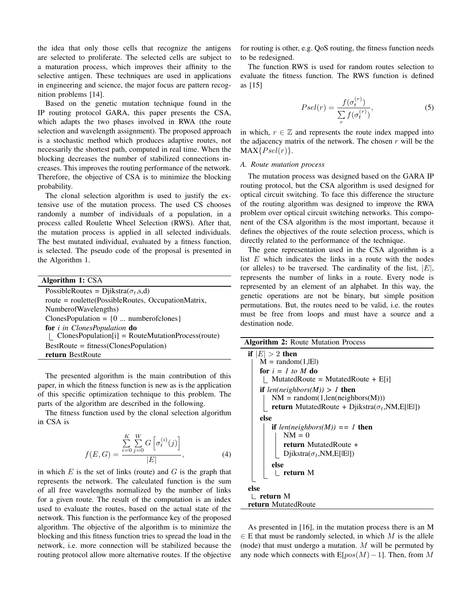the idea that only those cells that recognize the antigens are selected to proliferate. The selected cells are subject to a maturation process, which improves their affinity to the selective antigen. These techniques are used in applications in engineering and science, the major focus are pattern recognition problems [14].

Based on the genetic mutation technique found in the IP routing protocol GARA, this paper presents the CSA, which adapts the two phases involved in RWA (the route selection and wavelength assignment). The proposed approach is a stochastic method which produces adaptive routes, not necessarily the shortest path, computed in real time. When the blocking decreases the number of stabilized connections increases. This improves the routing performance of the network. Therefore, the objective of CSA is to minimize the blocking probability.

The clonal selection algorithm is used to justify the extensive use of the mutation process. The used CS chooses randomly a number of individuals of a population, in a process called Roulette Wheel Selection (RWS). After that, the mutation process is applied in all selected individuals. The best mutated individual, evaluated by a fitness function, is selected. The pseudo code of the proposal is presented in the Algorithm 1.

| Algorithm 1: CSA                                      |
|-------------------------------------------------------|
| PossibleRoutes = Djikstra( $\sigma_t$ ,s,d)           |
| route = roulette(PossibleRoutes, OccupationMatrix,    |
| NumberofWavelengths)                                  |
| Clones Population = $\{0 \dots$ number of clones $\}$ |
| for <i>i</i> in ClonesPopulation do                   |
| $ClonesPopulation[i] = RouteMutationProcess(root)$    |
| $Best Route = fitness(ClonesPopulation)$              |
| return BestRoute                                      |

The presented algorithm is the main contribution of this paper, in which the fitness function is new as is the application of this specific optimization technique to this problem. The parts of the algorithm are described in the following.

The fitness function used by the clonal selection algorithm in CSA is

$$
f(E, G) = \frac{\sum_{i=0}^{K} \sum_{j=0}^{W} G\left[\sigma_t^{(i)}(j)\right]}{|E|},
$$
\n(4)

in which  $E$  is the set of links (route) and  $G$  is the graph that represents the network. The calculated function is the sum of all free wavelengths normalized by the number of links for a given route. The result of the computation is an index used to evaluate the routes, based on the actual state of the network. This function is the performance key of the proposed algorithm. The objective of the algorithm is to minimize the blocking and this fitness function tries to spread the load in the network, i.e. more connection will be stabilized because the routing protocol allow more alternative routes. If the objective for routing is other, e.g. QoS routing, the fitness function needs to be redesigned.

The function RWS is used for random routes selection to evaluate the fitness function. The RWS function is defined as [15]

$$
Psel(r) = \frac{f(\sigma_t^{(r)})}{\sum_{r} f(\sigma_t^{(r)})},\tag{5}
$$

in which,  $r \in \mathbb{Z}$  and represents the route index mapped into the adjacency matrix of the network. The chosen  $r$  will be the  $MAX\{Psel(r)\}.$ 

## *A. Route mutation process*

The mutation process was designed based on the GARA IP routing protocol, but the CSA algorithm is used designed for optical circuit switching. To face this difference the structure of the routing algorithm was designed to improve the RWA problem over optical circuit switching networks. This component of the CSA algorithm is the most important, because it defines the objectives of the route selection process, which is directly related to the performance of the technique.

The gene representation used in the CSA algorithm is a list  $E$  which indicates the links in a route with the nodes (or alleles) to be traversed. The cardinality of the list,  $|E|$ , represents the number of links in a route. Every node is represented by an element of an alphabet. In this way, the genetic operations are not be binary, but simple position permutations. But, the routes need to be valid, i.e. the routes must be free from loops and must have a source and a destination node.

| <b>Algorithm 2: Route Mutation Process</b>                      |
|-----------------------------------------------------------------|
| if $ E  > 2$ then                                               |
| $M = \text{random}(1,  E )$                                     |
| for $i = 1$ to M do                                             |
| MutatedRoute = MutatedRoute + $E[i]$                            |
| <b>if</b> len(neighbors(M)) > 1 <b>then</b>                     |
| $NM = random(1, len(neighbors(M)))$                             |
| <b>return</b> MutatedRoute + Djikstra( $\sigma_t$ , NM, E[[E]]) |
| else                                                            |
| if $len(neighbors(M)) == 1$ then                                |
| $NM = 0$                                                        |
| return MutatedRoute +                                           |
| Djikstra $(\sigma_t, NM, E[ E ])$                               |
| else                                                            |
| _ return M                                                      |
|                                                                 |
| else                                                            |
| return M                                                        |
| <b>return</b> MutatedRoute                                      |

As presented in [16], in the mutation process there is an M  $\in$  E that must be randomly selected, in which M is the allele (node) that must undergo a mutation.  $M$  will be permuted by any node which connects with  $E[pos(M)-1]$ . Then, from M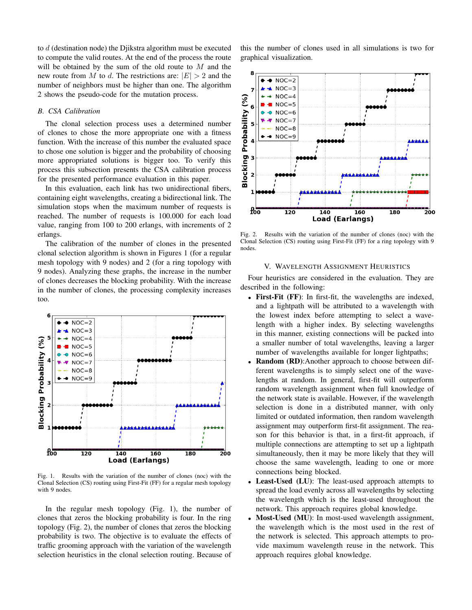to d (destination node) the Djikstra algorithm must be executed to compute the valid routes. At the end of the process the route will be obtained by the sum of the old route to  $M$  and the new route from M to d. The restrictions are:  $|E| > 2$  and the number of neighbors must be higher than one. The algorithm 2 shows the pseudo-code for the mutation process.

## *B. CSA Calibration*

The clonal selection process uses a determined number of clones to chose the more appropriate one with a fitness function. With the increase of this number the evaluated space to chose one solution is bigger and the probability of choosing more appropriated solutions is bigger too. To verify this process this subsection presents the CSA calibration process for the presented performance evaluation in this paper.

In this evaluation, each link has two unidirectional fibers, containing eight wavelengths, creating a bidirectional link. The simulation stops when the maximum number of requests is reached. The number of requests is 100.000 for each load value, ranging from 100 to 200 erlangs, with increments of 2 erlangs.

The calibration of the number of clones in the presented clonal selection algorithm is shown in Figures 1 (for a regular mesh topology with 9 nodes) and 2 (for a ring topology with 9 nodes). Analyzing these graphs, the increase in the number of clones decreases the blocking probability. With the increase in the number of clones, the processing complexity increases too.



Fig. 1. Results with the variation of the number of clones (noc) with the Clonal Selection (CS) routing using First-Fit (FF) for a regular mesh topology with 9 nodes.

In the regular mesh topology (Fig. 1), the number of clones that zeros the blocking probability is four. In the ring topology (Fig. 2), the number of clones that zeros the blocking probability is two. The objective is to evaluate the effects of traffic grooming approach with the variation of the wavelength selection heuristics in the clonal selection routing. Because of this the number of clones used in all simulations is two for graphical visualization.



Fig. 2. Results with the variation of the number of clones (noc) with the Clonal Selection (CS) routing using First-Fit (FF) for a ring topology with 9 nodes.

## V. WAVELENGTH ASSIGNMENT HEURISTICS

Four heuristics are considered in the evaluation. They are described in the following:

- First-Fit (FF): In first-fit, the wavelengths are indexed, and a lightpath will be attributed to a wavelength with the lowest index before attempting to select a wavelength with a higher index. By selecting wavelengths in this manner, existing connections will be packed into a smaller number of total wavelengths, leaving a larger number of wavelengths available for longer lightpaths;
- **Random (RD):**Another approach to choose between different wavelengths is to simply select one of the wavelengths at random. In general, first-fit will outperform random wavelength assignment when full knowledge of the network state is available. However, if the wavelength selection is done in a distributed manner, with only limited or outdated information, then random wavelength assignment may outperform first-fit assignment. The reason for this behavior is that, in a first-fit approach, if multiple connections are attempting to set up a lightpath simultaneously, then it may be more likely that they will choose the same wavelength, leading to one or more connections being blocked.
- Least-Used (LU): The least-used approach attempts to spread the load evenly across all wavelengths by selecting the wavelength which is the least-used throughout the network. This approach requires global knowledge.
- Most-Used (MU): In most-used wavelength assignment, the wavelength which is the most used in the rest of the network is selected. This approach attempts to provide maximum wavelength reuse in the network. This approach requires global knowledge.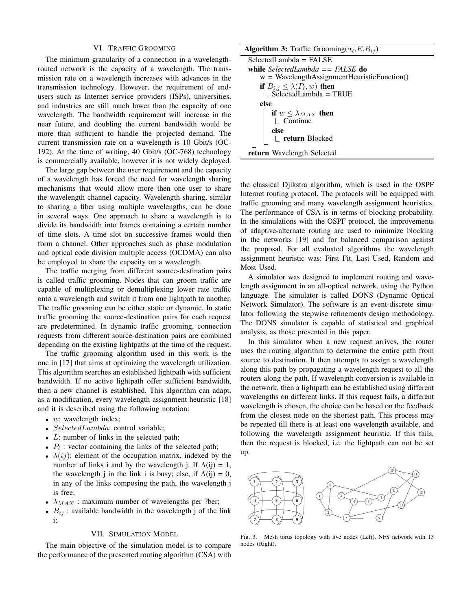#### VI. TRAFFIC GROOMING

The minimum granularity of a connection in a wavelengthrouted network is the capacity of a wavelength. The transmission rate on a wavelength increases with advances in the transmission technology. However, the requirement of endusers such as Internet service providers (ISPs), universities, and industries are still much lower than the capacity of one wavelength. The bandwidth requirement will increase in the near future, and doubling the current bandwidth would be more than sufficient to handle the projected demand. The current transmission rate on a wavelength is 10 Gbit/s (OC-192). At the time of writing, 40 Gbit/s (OC-768) technology is commercially available, however it is not widely deployed.

The large gap between the user requirement and the capacity of a wavelength has forced the need for wavelength sharing mechanisms that would allow more then one user to share the wavelength channel capacity. Wavelength sharing, similar to sharing a fiber using multiple wavelengths, can be done in several ways. One approach to share a wavelength is to divide its bandwidth into frames containing a certain number of time slots. A time slot on successive frames would then form a channel. Other approaches such as phase modulation and optical code division multiple access (OCDMA) can also be employed to share the capacity on a wavelength.

The traffic merging from different source-destination pairs is called traffic grooming. Nodes that can groom traffic are capable of multiplexing or demultiplexing lower rate traffic onto a wavelength and switch it from one lightpath to another. The traffic grooming can be either static or dynamic. In static traffic grooming the source-destination pairs for each request are predetermined. In dynamic traffic grooming, connection requests from different source-destination pairs are combined depending on the existing lightpaths at the time of the request.

The traffic grooming algorithm used in this work is the one in [17] that aims at optimizing the wavelength utilization. This algorithm searches an established lightpath with sufficient bandwidth. If no active lightpath offer sufficient bandwidth, then a new channel is established. This algorithm can adapt, as a modification, every wavelength assignment heuristic [18] and it is described using the following notation:

- $\bullet$  *w*: wavelength index;
- SelectedLambda: control variable;
- $L$ : number of links in the selected path;
- $P_l$ : vector containing the links of the selected path;
- $\lambda(ij)$ : element of the occupation matrix, indexed by the number of links i and by the wavelength j. If  $\Lambda(ij) = 1$ , the wavelength j in the link i is busy; else, if  $\Lambda(ij) = 0$ , in any of the links composing the path, the wavelength j is free;
- $\lambda_{MAX}$ : maximum number of wavelengths per ?ber;
- $B_{ij}$ : available bandwidth in the wavelength j of the link i;

## VII. SIMULATION MODEL

The main objective of the simulation model is to compare the performance of the presented routing algorithm (CSA) with

**Algorithm 3:** Traffic Grooming( $\sigma_t$ , $E$ , $B_{ij}$ ) SelectedLambda = FALSE while *SelectedLambda == FALSE* do  $w = W$ avelengthAssignmentHeuristicFunction()if  $B_{i,j} \leq \lambda(P_l,w)$  then  $\Box$  SelectedLambda = TRUE else if  $w \leq \lambda_{MAX}$  then  $\mathsf{\perp}$  Continue else return Blocked return Wavelength Selected

the classical Djikstra algorithm, which is used in the OSPF Internet routing protocol. The protocols will be equipped with traffic grooming and many wavelength assignment heuristics. The performance of CSA is in terms of blocking probability. In the simulations with the OSPF protocol, the improvements of adaptive-alternate routing are used to minimize blocking in the networks [19] and for balanced comparison against the proposal. For all evaluated algorithms the wavelength assignment heuristic was: First Fit, Last Used, Random and Most Used.

A simulator was designed to implement routing and wavelength assignment in an all-optical network, using the Python language. The simulator is called DONS (Dynamic Optical Network Simulator). The software is an event-discrete simulator following the stepwise refinements design methodology. The DONS simulator is capable of statistical and graphical analysis, as those presented in this paper.

In this simulator when a new request arrives, the router uses the routing algorithm to determine the entire path from source to destination. It then attempts to assign a wavelength along this path by propagating a wavelength request to all the routers along the path. If wavelength conversion is available in the network, then a lightpath can be established using different wavelengths on different links. If this request fails, a different wavelength is chosen, the choice can be based on the feedback from the closest node on the shortest path. This process may be repeated till there is at least one wavelength available, and following the wavelength assignment heuristic. If this fails, then the request is blocked, i.e. the lightpath can not be set up.



Fig. 3. Mesh torus topology with five nodes (Left). NFS network with 13 nodes (Right).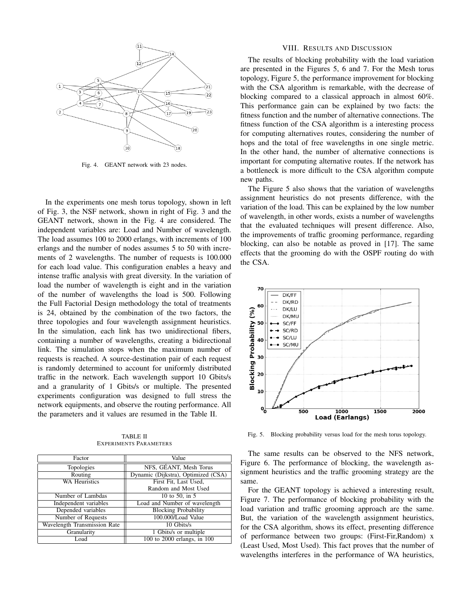

Fig. 4. GEANT network with 23 nodes.

In the experiments one mesh torus topology, shown in left of Fig. 3, the NSF network, shown in right of Fig. 3 and the GEANT network, shown in the Fig. 4 are considered. The independent variables are: Load and Number of wavelength. The load assumes 100 to 2000 erlangs, with increments of 100 erlangs and the number of nodes assumes 5 to 50 with increments of 2 wavelengths. The number of requests is 100.000 for each load value. This configuration enables a heavy and intense traffic analysis with great diversity. In the variation of load the number of wavelength is eight and in the variation of the number of wavelengths the load is 500. Following the Full Factorial Design methodology the total of treatments is 24, obtained by the combination of the two factors, the three topologies and four wavelength assignment heuristics. In the simulation, each link has two unidirectional fibers, containing a number of wavelengths, creating a bidirectional link. The simulation stops when the maximum number of requests is reached. A source-destination pair of each request is randomly determined to account for uniformly distributed traffic in the network. Each wavelength support 10 Gbits/s and a granularity of 1 Gbits/s or multiple. The presented experiments configuration was designed to full stress the network equipments, and observe the routing performance. All the parameters and it values are resumed in the Table II.

| <b>TABLE II</b>               |
|-------------------------------|
| <b>EXPERIMENTS PARAMETERS</b> |

| Factor                       | Value                               |
|------------------------------|-------------------------------------|
| Topologies                   | NFS, GÉANT, Mesh Torus              |
| Routing                      | Dynamic (Dijkstra), Optimized (CSA) |
| <b>WA Heuristics</b>         | First Fit, Last Used,               |
|                              | Random and Most Used                |
| Number of Lambdas            | 10 to 50, in 5                      |
| Independent variables        | Load and Number of wavelength       |
| Depended variables           | <b>Blocking Probability</b>         |
| Number of Requests           | 100.000/Load Value                  |
| Wavelength Transmission Rate | 10 Gbits/s                          |
| Granularity                  | 1 Gbits/s or multiple               |
| Load                         | 100 to 2000 erlangs, in 100         |

#### VIII. RESULTS AND DISCUSSION

The results of blocking probability with the load variation are presented in the Figures 5, 6 and 7. For the Mesh torus topology, Figure 5, the performance improvement for blocking with the CSA algorithm is remarkable, with the decrease of blocking compared to a classical approach in almost 60%. This performance gain can be explained by two facts: the fitness function and the number of alternative connections. The fitness function of the CSA algorithm is a interesting process for computing alternatives routes, considering the number of hops and the total of free wavelengths in one single metric. In the other hand, the number of alternative connections is important for computing alternative routes. If the network has a bottleneck is more difficult to the CSA algorithm compute new paths.

The Figure 5 also shows that the variation of wavelengths assignment heuristics do not presents difference, with the variation of the load. This can be explained by the low number of wavelength, in other words, exists a number of wavelengths that the evaluated techniques will present difference. Also, the improvements of traffic grooming performance, regarding blocking, can also be notable as proved in [17]. The same effects that the grooming do with the OSPF routing do with the CSA.



Fig. 5. Blocking probability versus load for the mesh torus topology.

The same results can be observed to the NFS network, Figure 6. The performance of blocking, the wavelength assignment heuristics and the traffic grooming strategy are the same.

For the GEANT topology is achieved a interesting result, Figure 7. The performance of blocking probability with the load variation and traffic grooming approach are the same. But, the variation of the wavelength assignment heuristics, for the CSA algorithm, shows its effect, presenting difference of performance between two groups: (First-Fir,Random) x (Least Used, Most Used). This fact proves that the number of wavelengths interferes in the performance of WA heuristics,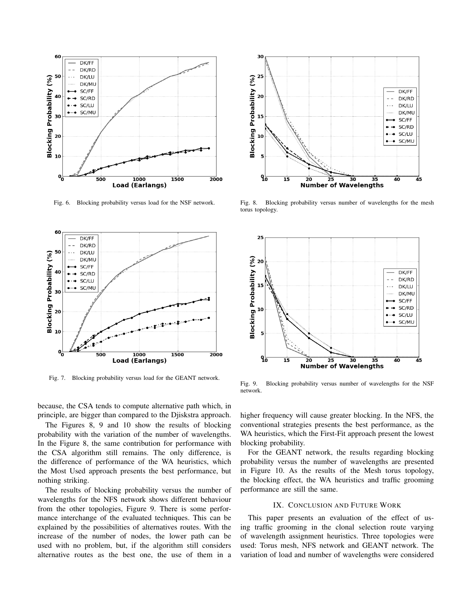

Fig. 6. Blocking probability versus load for the NSF network.



Fig. 7. Blocking probability versus load for the GEANT network.

because, the CSA tends to compute alternative path which, in principle, are bigger than compared to the Djiskstra approach.

The Figures 8, 9 and 10 show the results of blocking probability with the variation of the number of wavelengths. In the Figure 8, the same contribution for performance with the CSA algorithm still remains. The only difference, is the difference of performance of the WA heuristics, which the Most Used approach presents the best performance, but nothing striking.

The results of blocking probability versus the number of wavelengths for the NFS network shows different behaviour from the other topologies, Figure 9. There is some performance interchange of the evaluated techniques. This can be explained by the possibilities of alternatives routes. With the increase of the number of nodes, the lower path can be used with no problem, but, if the algorithm still considers alternative routes as the best one, the use of them in a



Fig. 8. Blocking probability versus number of wavelengths for the mesh torus topology.



Fig. 9. Blocking probability versus number of wavelengths for the NSF network.

higher frequency will cause greater blocking. In the NFS, the conventional strategies presents the best performance, as the WA heuristics, which the First-Fit approach present the lowest blocking probability.

For the GEANT network, the results regarding blocking probability versus the number of wavelengths are presented in Figure 10. As the results of the Mesh torus topology, the blocking effect, the WA heuristics and traffic grooming performance are still the same.

## IX. CONCLUSION AND FUTURE WORK

This paper presents an evaluation of the effect of using traffic grooming in the clonal selection route varying of wavelength assignment heuristics. Three topologies were used: Torus mesh, NFS network and GEANT network. The variation of load and number of wavelengths were considered